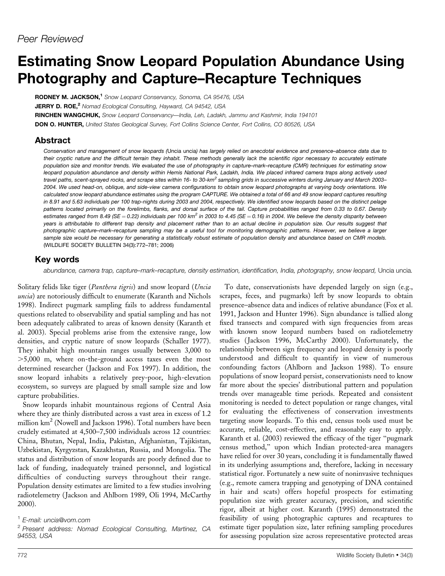# Estimating Snow Leopard Population Abundance Using Photography and Capture–Recapture Techniques

RODNEY M. JACKSON,<sup>1</sup> Snow Leopard Conservancy, Sonoma, CA 95476, USA JERRY D. ROE,<sup>2</sup> Nomad Ecological Consulting, Hayward, CA 94542, USA RINCHEN WANGCHUK, Snow Leopard Conservancy—India, Leh, Ladakh, Jammu and Kashmir, India 194101 DON O. HUNTER, United States Geological Survey, Fort Collins Science Center, Fort Collins, CO 80526, USA

## Abstract

*Conservation and management of snow leopards (*Uncia uncia*) has largely relied on anecdotal evidence and presence–absence data due to their cryptic nature and the difficult terrain they inhabit. These methods generally lack the scientific rigor necessary to accurately estimate population size and monitor trends. We evaluated the use of photography in capture–mark–recapture (CMR) techniques for estimating snow leopard population abundance and density within Hemis National Park, Ladakh, India. We placed infrared camera traps along actively used travel paths, scent-sprayed rocks, and scrape sites within 16- to 30-km<sup>2</sup> sampling grids in successive winters during January and March 2003– 2004. We used head-on, oblique, and side-view camera configurations to obtain snow leopard photographs at varying body orientations. We calculated snow leopard abundance estimates using the program CAPTURE. We obtained a total of 66 and 49 snow leopard captures resulting in 8.91 and 5.63 individuals per 100 trap-nights during 2003 and 2004, respectively. We identified snow leopards based on the distinct pelage patterns located primarily on the forelimbs, flanks, and dorsal surface of the tail. Capture probabilities ranged from 0.33 to 0.67. Density* estimates ranged from 8.49 (SE = 0.22) individuals per 100 km<sup>2</sup> in 2003 to 4.45 (SE = 0.16) in 2004. We believe the density disparity between *years is attributable to different trap density and placement rather than to an actual decline in population size. Our results suggest that photographic capture–mark–recapture sampling may be a useful tool for monitoring demographic patterns. However, we believe a larger sample size would be necessary for generating a statistically robust estimate of population density and abundance based on CMR models.* (WILDLIFE SOCIETY BULLETIN 34(3):772–781; 2006)

# Key words

abundance, camera trap, capture–mark–recapture, density estimation, identification, India, photography, snow leopard, Uncia uncia.

Solitary felids like tiger (Panthera tigris) and snow leopard (Uncia uncia) are notoriously difficult to enumerate (Karanth and Nichols 1998). Indirect pugmark sampling fails to address fundamental questions related to observability and spatial sampling and has not been adequately calibrated to areas of known density (Karanth et al. 2003). Special problems arise from the extensive range, low densities, and cryptic nature of snow leopards (Schaller 1977). They inhabit high mountain ranges usually between 3,000 to .5,000 m, where on-the-ground access taxes even the most determined researcher (Jackson and Fox 1997). In addition, the snow leopard inhabits a relatively prey-poor, high-elevation ecosystem, so surveys are plagued by small sample size and low capture probabilities.

Snow leopards inhabit mountainous regions of Central Asia where they are thinly distributed across a vast area in excess of 1.2 million  $km^2$  (Nowell and Jackson 1996). Total numbers have been crudely estimated at 4,500–7,500 individuals across 12 countries: China, Bhutan, Nepal, India, Pakistan, Afghanistan, Tajikistan, Uzbekistan, Kyrgyzstan, Kazakhstan, Russia, and Mongolia. The status and distribution of snow leopards are poorly defined due to lack of funding, inadequately trained personnel, and logistical difficulties of conducting surveys throughout their range. Population density estimates are limited to a few studies involving radiotelemetry ( Jackson and Ahlborn 1989, Oli 1994, McCarthy 2000).

## <sup>1</sup> E-mail: uncia@vom.com

<sup>2</sup> Present address: Nomad Ecological Consulting, Martinez, CA 94553, USA

To date, conservationists have depended largely on sign (e.g., scrapes, feces, and pugmarks) left by snow leopards to obtain presence–absence data and indices of relative abundance (Fox et al. 1991, Jackson and Hunter 1996). Sign abundance is tallied along fixed transects and compared with sign frequencies from areas with known snow leopard numbers based on radiotelemetry studies ( Jackson 1996, McCarthy 2000). Unfortunately, the relationship between sign frequency and leopard density is poorly understood and difficult to quantify in view of numerous confounding factors (Ahlborn and Jackson 1988). To ensure populations of snow leopard persist, conservationists need to know far more about the species' distributional pattern and population trends over manageable time periods. Repeated and consistent monitoring is needed to detect population or range changes, vital for evaluating the effectiveness of conservation investments targeting snow leopards. To this end, census tools used must be accurate, reliable, cost-effective, and reasonably easy to apply. Karanth et al. (2003) reviewed the efficacy of the tiger ''pugmark census method,'' upon which Indian protected-area managers have relied for over 30 years, concluding it is fundamentally flawed in its underlying assumptions and, therefore, lacking in necessary statistical rigor. Fortunately a new suite of noninvasive techniques (e.g., remote camera trapping and genotyping of DNA contained in hair and scats) offers hopeful prospects for estimating population size with greater accuracy, precision, and scientific rigor, albeit at higher cost. Karanth (1995) demonstrated the feasibility of using photographic captures and recaptures to estimate tiger population size, later refining sampling procedures for assessing population size across representative protected areas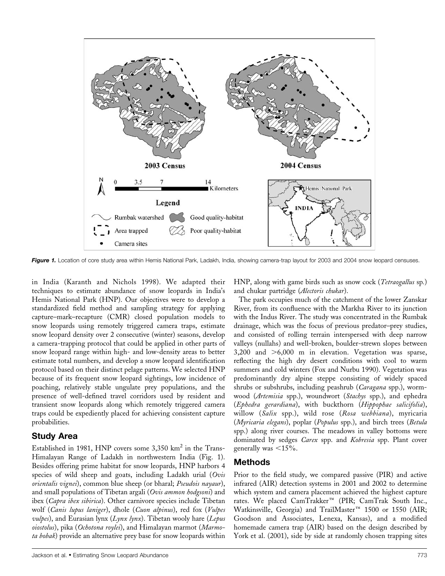

Figure 1. Location of core study area within Hemis National Park, Ladakh, India, showing camera-trap layout for 2003 and 2004 snow leopard censuses.

in India (Karanth and Nichols 1998). We adapted their techniques to estimate abundance of snow leopards in India's Hemis National Park (HNP). Our objectives were to develop a standardized field method and sampling strategy for applying capture–mark–recapture (CMR) closed population models to snow leopards using remotely triggered camera traps, estimate snow leopard density over 2 consecutive (winter) seasons, develop a camera-trapping protocol that could be applied in other parts of snow leopard range within high- and low-density areas to better estimate total numbers, and develop a snow leopard identification protocol based on their distinct pelage patterns. We selected HNP because of its frequent snow leopard sightings, low incidence of poaching, relatively stable ungulate prey populations, and the presence of well-defined travel corridors used by resident and transient snow leopards along which remotely triggered camera traps could be expediently placed for achieving consistent capture probabilities.

# Study Area

Established in 1981, HNP covers some  $3,350 \text{ km}^2$  in the Trans-Himalayan Range of Ladakh in northwestern India (Fig. 1). Besides offering prime habitat for snow leopards, HNP harbors 4 species of wild sheep and goats, including Ladakh urial (Ovis orientalis vignei), common blue sheep (or bharal; Pseudois nayaur), and small populations of Tibetan argali (Ovis ammon hodgsoni) and ibex (Capra ibex sibirica). Other carnivore species include Tibetan wolf (Canis lupus laniger), dhole (Cuon alpinus), red fox (Vulpes  $\omega$ ulpes), and Eurasian lynx (Lynx lynx). Tibetan wooly hare (Lepus oiostolus), pika (Ochotona roylei), and Himalayan marmot (Marmota bobak) provide an alternative prey base for snow leopards within HNP, along with game birds such as snow cock (*Tetraogallus* sp.) and chukar partridge (Alectoris chukar).

The park occupies much of the catchment of the lower Zanskar River, from its confluence with the Markha River to its junction with the Indus River. The study was concentrated in the Rumbak drainage, which was the focus of previous predator–prey studies, and consisted of rolling terrain interspersed with deep narrow valleys (nullahs) and well-broken, boulder-strewn slopes between 3,200 and  $>6,000$  m in elevation. Vegetation was sparse, reflecting the high dry desert conditions with cool to warm summers and cold winters (Fox and Nurbu 1990). Vegetation was predominantly dry alpine steppe consisting of widely spaced shrubs or subshrubs, including peashrub (Caragana spp.), wormwood (Artemisia spp.), woundwort (Stachys spp.), and ephedra (Ephedra gerardiana), with buckthorn (Hippophae salicifolia), willow (Salix spp.), wild rose (Rosa webbiana), myricaria (Myricaria elegans), poplar (Populus spp.), and birch trees (Betula spp.) along river courses. The meadows in valley bottoms were dominated by sedges Carex spp. and Kobresia spp. Plant cover generally was  $\langle 15\% \rangle$ .

# Methods

Prior to the field study, we compared passive (PIR) and active infrared (AIR) detection systems in 2001 and 2002 to determine which system and camera placement achieved the highest capture rates. We placed CamTrakker<sup>™</sup> (PIR; CamTrak South Inc., Watkinsville, Georgia) and TrailMaster<sup>™</sup> 1500 or 1550 (AIR; Goodson and Associates, Lenexa, Kansas), and a modified homemade camera trap (AIR) based on the design described by York et al. (2001), side by side at randomly chosen trapping sites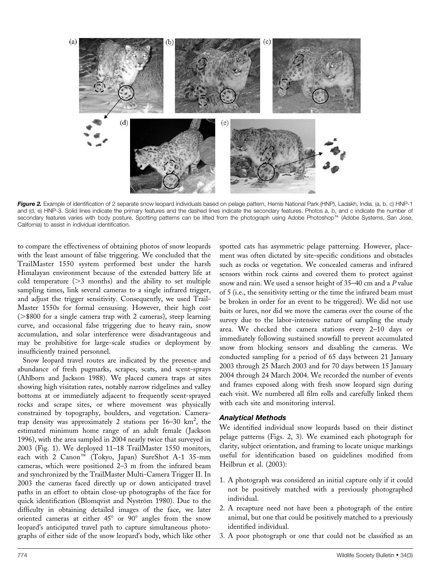

Figure 2. Example of identification of 2 separate snow leopard individuals based on pelage pattern, Hemis National Park (HNP), Ladakh, India. (a, b, c) HNP-1 and (d, e) HNP-3. Solid lines indicate the primary features and the dashed lines indicate the secondary features. Photos a, b, and c indicate the number of secondary features varies with body posture. Spotting patterns can be lifted from the photograph using Adobe Photoshop<sup>TM</sup> (Adobe Systems, San Jose, California) to assist in individual identification.

to compare the effectiveness of obtaining photos of snow leopards with the least amount of false triggering. We concluded that the TrailMaster 1550 system performed best under the harsh Himalayan environment because of the extended battery life at cold temperature  $(>= 3$  months) and the ability to set multiple sampling times, link several cameras to a single infrared trigger, and adjust the trigger sensitivity. Consequently, we used Trail-Master 1550s for formal censusing. However, their high cost  $(>\$800$  for a single camera trap with 2 cameras), steep learning curve, and occasional false triggering due to heavy rain, snow accumulation, and solar interference were disadvantageous and may be prohibitive for large-scale studies or deployment by insufficiently trained personnel.

Snow leopard travel routes are indicated by the presence and abundance of fresh pugmarks, scrapes, scats, and scent-sprays (Ahlborn and Jackson 1988). We placed camera traps at sites showing high visitation rates, notably narrow ridgelines and valley bottoms at or immediately adjacent to frequently scent-sprayed rocks and scrape sites, or where movement was physically constrained by topography, boulders, and vegetation. Cameratrap density was approximately 2 stations per  $16-30$  km<sup>2</sup>, the estimated minimum home range of an adult female (Jackson 1996), with the area sampled in 2004 nearly twice that surveyed in 2003 (Fig. 1). We deployed 11–18 TrailMaster 1550 monitors, each with 2 Canon<sup>™</sup> (Tokyo, Japan) SureShot A-1 35-mm cameras, which were positioned 2–3 m from the infrared beam and synchronized by the TrailMaster Multi-Camera Trigger II. In 2003 the cameras faced directly up or down anticipated travel paths in an effort to obtain close-up photographs of the face for quick identification (Blomqvist and Nyström 1980). Due to the difficulty in obtaining detailed images of the face, we later oriented cameras at either  $45^{\circ}$  or  $90^{\circ}$  angles from the snow leopard's anticipated travel path to capture simultaneous photographs of either side of the snow leopard's body, which like other spotted cats has asymmetric pelage patterning. However, placement was often dictated by site-specific conditions and obstacles such as rocks or vegetation. We concealed cameras and infrared sensors within rock cairns and covered them to protect against snow and rain. We used a sensor height of 35–40 cm and a P value of 5 (i.e., the sensitivity setting or the time the infrared beam must be broken in order for an event to be triggered). We did not use baits or lures, nor did we move the cameras over the course of the survey due to the labor-intensive nature of sampling the study area. We checked the camera stations every 2–10 days or immediately following sustained snowfall to prevent accumulated snow from blocking sensors and disabling the cameras. We conducted sampling for a period of 65 days between 21 January 2003 through 25 March 2003 and for 70 days between 15 January 2004 through 24 March 2004. We recorded the number of events and frames exposed along with fresh snow leopard sign during each visit. We numbered all film rolls and carefully linked them with each site and monitoring interval.

#### Analytical Methods

We identified individual snow leopards based on their distinct pelage patterns (Figs. 2, 3). We examined each photograph for clarity, subject orientation, and framing to locate unique markings useful for identification based on guidelines modified from Heilbrun et al. (2003):

- 1. A photograph was considered an initial capture only if it could not be positively matched with a previously photographed individual.
- 2. A recapture need not have been a photograph of the entire animal, but one that could be positively matched to a previously identified individual.
- 3. A poor photograph or one that could not be classified as an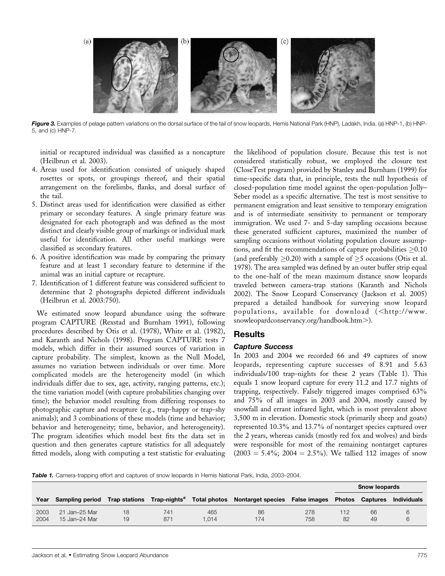

Figure 3. Examples of pelage pattern variations on the dorsal surface of the tail of snow leopards, Hemis National Park (HNP), Ladakh, India. (a) HNP-1, (b) HNP-5, and (c) HNP-7.

initial or recaptured individual was classified as a noncapture (Heilbrun et al. 2003).

- 4. Areas used for identification consisted of uniquely shaped rosettes or spots, or groupings thereof, and their spatial arrangement on the forelimbs, flanks, and dorsal surface of the tail.
- 5. Distinct areas used for identification were classified as either primary or secondary features. A single primary feature was designated for each photograph and was defined as the most distinct and clearly visible group of markings or individual mark useful for identification. All other useful markings were classified as secondary features.
- 6. A positive identification was made by comparing the primary feature and at least 1 secondary feature to determine if the animal was an initial capture or recapture.
- 7. Identification of 1 different feature was considered sufficient to determine that 2 photographs depicted different individuals (Heilbrun et al. 2003:750).

We estimated snow leopard abundance using the software program CAPTURE (Rexstad and Burnham 1991), following procedures described by Otis et al. (1978), White et al. (1982), and Karanth and Nichols (1998). Program CAPTURE tests 7 models, which differ in their assumed sources of variation in capture probability. The simplest, known as the Null Model, assumes no variation between individuals or over time. More complicated models are the heterogeneity model (in which individuals differ due to sex, age, activity, ranging patterns, etc.); the time variation model (with capture probabilities changing over time); the behavior model resulting from differing responses to photographic capture and recapture (e.g., trap-happy or trap-shy animals); and 3 combinations of these models (time and behavior; behavior and heterogeneity; time, behavior, and heterogeneity). The program identifies which model best fits the data set in question and then generates capture statistics for all adequately fitted models, along with computing a test statistic for evaluating the likelihood of population closure. Because this test is not considered statistically robust, we employed the closure test (CloseTest program) provided by Stanley and Burnham (1999) for time-specific data that, in principle, tests the null hypothesis of closed-population time model against the open-population Jolly– Seber model as a specific alternative. The test is most sensitive to permanent emigration and least sensitive to temporary emigration and is of intermediate sensitivity to permanent or temporary immigration. We used 7- and 5-day sampling occasions because these generated sufficient captures, maximized the number of sampling occasions without violating population closure assumptions, and fit the recommendations of capture probabilities  $\geq$ 0.10 (and preferably  ${\geq}0.20$ ) with a sample of  ${\geq}5$  occasions (Otis et al. 1978). The area sampled was defined by an outer buffer strip equal to the one-half of the mean maximum distance snow leopards traveled between camera-trap stations (Karanth and Nichols 2002). The Snow Leopard Conservancy ( Jackson et al. 2005) prepared a detailed handbook for surveying snow leopard populations, available for download (<http://www. snowleopardconservancy.org/handbook.htm>).

## Results

#### Capture Success

In 2003 and 2004 we recorded 66 and 49 captures of snow leopards, representing capture successes of 8.91 and 5.63 individuals/100 trap-nights for these 2 years (Table 1). This equals 1 snow leopard capture for every 11.2 and 17.7 nights of trapping, respectively. Falsely triggered images comprised 63% and 75% of all images in 2003 and 2004, mostly caused by snowfall and errant infrared light, which is most prevalent above 3,500 m in elevation. Domestic stock (primarily sheep and goats) represented 10.3% and 13.7% of nontarget species captured over the 2 years, whereas canids (mostly red fox and wolves) and birds were responsible for most of the remaining nontarget captures  $(2003 = 5.4\%; 2004 = 2.5\%)$ . We tallied 112 images of snow

Table 1. Camera-trapping effort and captures of snow leopards in Hemis National Park, India, 2003-2004.

|              |                                |          |            |             |                                                                                                    |            | <b>Snow leopards</b> |                        |                    |
|--------------|--------------------------------|----------|------------|-------------|----------------------------------------------------------------------------------------------------|------------|----------------------|------------------------|--------------------|
| Year         |                                |          |            |             | Sampling period Trap stations Trap-nights <sup>a</sup> Total photos Nontarget species False images |            |                      | <b>Photos Captures</b> | <b>Individuals</b> |
| 2003<br>2004 | 21 Jan-25 Mar<br>15 Jan-24 Mar | 18<br>19 | 741<br>871 | 465<br>.014 | 86<br>174                                                                                          | 278<br>758 | 112<br>82            | 66<br>49               |                    |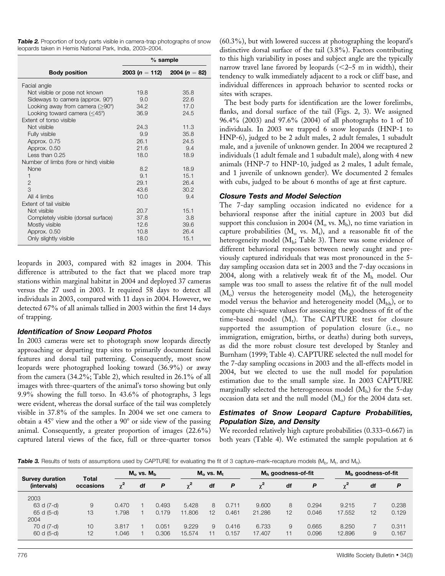| <b>Table 2.</b> Proportion of body parts visible in camera-trap photographs of snow |  |
|-------------------------------------------------------------------------------------|--|
| leopards taken in Hemis National Park, India, 2003–2004.                            |  |

|                                            | $%$ sample                   |      |
|--------------------------------------------|------------------------------|------|
| <b>Body position</b>                       | 2003 (n = 112) 2004 (n = 82) |      |
| Facial angle                               |                              |      |
| Not visible or pose not known              | 19.8                         | 35.8 |
| Sideways to camera (approx. 90°)           | 9.0                          | 22.6 |
| Looking away from camera $(>90^\circ)$     | 34.2                         | 17.0 |
| Looking toward camera $(<$ 45 $^{\circ}$ ) | 36.9                         | 24.5 |
| Extent of torso visible                    |                              |      |
| Not visible                                | 24.3                         | 11.3 |
| Fully visible                              | 9.9                          | 35.8 |
| Approx. 0.75                               | 26.1                         | 24.5 |
| Approx. 0.50                               | 21.6                         | 9.4  |
| Less than $0.25$                           | 18.0                         | 18.9 |
| Number of limbs (fore or hind) visible     |                              |      |
| <b>None</b>                                | 8.2                          | 18.9 |
| $\mathbf{1}$                               | 9.1                          | 15.1 |
| 2                                          | 29.1                         | 26.4 |
| 3                                          | 43.6                         | 30.2 |
| All 4 limbs                                | 10.0                         | 9.4  |
| Extent of tail visible                     |                              |      |
| Not visible                                | 20.7                         | 15.1 |
| Completely visible (dorsal surface)        | 37.8                         | 3.8  |
| Mostly visible                             | 12.6                         | 39.6 |
| Approx. 0.50                               | 10.8                         | 26.4 |
| Only slightly visible                      | 18.0                         | 15.1 |

leopards in 2003, compared with 82 images in 2004. This difference is attributed to the fact that we placed more trap stations within marginal habitat in 2004 and deployed 37 cameras versus the 27 used in 2003. It required 58 days to detect all individuals in 2003, compared with 11 days in 2004. However, we detected 67% of all animals tallied in 2003 within the first 14 days of trapping.

#### Identification of Snow Leopard Photos

In 2003 cameras were set to photograph snow leopards directly approaching or departing trap sites to primarily document facial features and dorsal tail patterning. Consequently, most snow leopards were photographed looking toward (36.9%) or away from the camera (34.2%; Table 2), which resulted in 26.1% of all images with three-quarters of the animal's torso showing but only 9.9% showing the full torso. In 43.6% of photographs, 3 legs were evident, whereas the dorsal surface of the tail was completely visible in 37.8% of the samples. In 2004 we set one camera to obtain a  $45^\circ$  view and the other a  $90^\circ$  or side view of the passing animal. Consequently, a greater proportion of images (22.6%) captured lateral views of the face, full or three-quarter torsos

(60.3%), but with lowered success at photographing the leopard's distinctive dorsal surface of the tail (3.8%). Factors contributing to this high variability in poses and subject angle are the typically narrow travel lane favored by leopards  $(<2-5$  m in width), their tendency to walk immediately adjacent to a rock or cliff base, and individual differences in approach behavior to scented rocks or sites with scrapes.

The best body parts for identification are the lower forelimbs, flanks, and dorsal surface of the tail (Figs. 2, 3). We assigned 96.4% (2003) and 97.6% (2004) of all photographs to 1 of 10 individuals. In 2003 we trapped 6 snow leopards (HNP-1 to HNP-6), judged to be 2 adult males, 2 adult females, 1 subadult male, and a juvenile of unknown gender. In 2004 we recaptured 2 individuals (1 adult female and 1 subadult male), along with 4 new animals (HNP-7 to HNP-10, judged as 2 males, 1 adult female, and 1 juvenile of unknown gender). We documented 2 females with cubs, judged to be about 6 months of age at first capture.

#### Closure Tests and Model Selection

The 7-day sampling occasion indicated no evidence for a behavioral response after the initial capture in 2003 but did support this conclusion in 2004 ( $M<sub>o</sub>$  vs.  $M<sub>b</sub>$ ), no time variation in capture probabilities  $(M_0$  vs.  $M_t$ ), and a reasonable fit of the heterogeneity model (M<sub>h</sub>; Table 3). There was some evidence of different behavioral responses between newly caught and previously captured individuals that was most pronounced in the 5 day sampling occasion data set in 2003 and the 7-day occasions in 2004, along with a relatively weak fit of the Mh model. Our sample was too small to assess the relative fit of the null model  $(M<sub>o</sub>)$  versus the heterogeneity model  $(M<sub>h</sub>)$ , the heterogeneity model versus the behavior and heterogeneity model (Mbh), or to compute chi-square values for assessing the goodness of fit of the time-based model  $(M_t)$ . The CAPTURE test for closure supported the assumption of population closure (i.e., no immigration, emigration, births, or deaths) during both surveys, as did the more robust closure test developed by Stanley and Burnham (1999; Table 4). CAPTURE selected the null model for the 7-day sampling occasions in 2003 and the all-effects model in 2004, but we elected to use the null model for population estimation due to the small sample size. In 2003 CAPTURE marginally selected the heterogeneous model  $(M_h)$  for the 5-day occasion data set and the null model  $(M<sub>o</sub>)$  for the 2004 data set.

## Estimates of Snow Leopard Capture Probabilities, Population Size, and Density

We recorded relatively high capture probabilities (0.333–0.667) in both years (Table 4). We estimated the sample population at 6

Table 3. Results of tests of assumptions used by CAPTURE for evaluating the fit of 3 capture–mark–recapture models (M<sub>b</sub>, M<sub>t</sub>, and M<sub>h</sub>).

| <b>Survey duration</b> | <b>Total</b><br>occasions | $M_0$ vs. $M_h$ |    | $Mo$ vs. $Mt$ |          | $Mb$ goodness-of-fit |       |            | $Mb$ goodness-of-fit |       |          |    |       |
|------------------------|---------------------------|-----------------|----|---------------|----------|----------------------|-------|------------|----------------------|-------|----------|----|-------|
| (intervals)            |                           | $\mathbf{v}^2$  | df | P             | $\chi^2$ | df                   | P     | $\gamma^2$ | df                   | P     | $\chi^2$ | df | P     |
| 2003                   |                           |                 |    |               |          |                      |       |            |                      |       |          |    |       |
| 63 d (7-d)             | 9                         | 0.470           |    | 0.493         | 5.428    | 8                    | 0.711 | 9.600      | 8                    | 0.294 | 9.215    |    | 0.238 |
| 65 d (5-d)             | 13                        | 1.798           |    | 0.179         | 11.806   | 12                   | 0.461 | 21.286     | 12                   | 0.046 | 17.552   | 12 | 0.129 |
| 2004                   |                           |                 |    |               |          |                      |       |            |                      |       |          |    |       |
| 70 d (7-d)             | 10                        | 3.817           |    | 0.051         | 9.229    | 9                    | 0.416 | 6.733      | 9                    | 0.665 | 8.250    |    | 0.311 |
| 60 d (5-d)             | 12                        | 1.046           |    | 0.306         | 15.574   | 11                   | 0.157 | 17.407     | 11                   | 0.096 | 12.896   | 9  | 0.167 |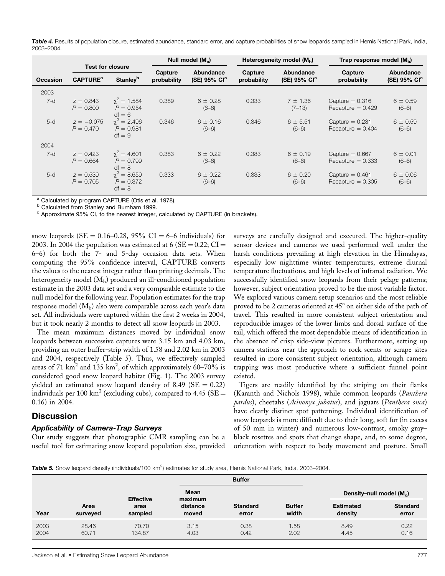Table 4. Results of population closure, estimated abundance, standard error, and capture probabilities of snow leopards sampled in Hemis National Park, India, 2003–2004.

|                 |                                                                                      |                                               | Null model $(M_0)$     |                               |       | Heterogeneity model $(M_h)$              | Trap response model $(M_h)$              |                                         |  |
|-----------------|--------------------------------------------------------------------------------------|-----------------------------------------------|------------------------|-------------------------------|-------|------------------------------------------|------------------------------------------|-----------------------------------------|--|
| <b>Occasion</b> | <b>Test for closure</b><br><b>Stanley</b> <sup>b</sup><br><b>CAPTURE<sup>a</sup></b> |                                               | Capture<br>probability | Abundance<br>$(SE)$ 95% $Clc$ |       | Abundance<br>(SE) $95\%$ CI <sup>c</sup> | Capture<br>probability                   | Abundance<br>$(SE)$ 95% CI <sup>c</sup> |  |
| 2003            |                                                                                      |                                               |                        |                               |       |                                          |                                          |                                         |  |
| $7-d$           | $z = 0.843$<br>$P = 0.800$                                                           | $\gamma^2 = 1.584$<br>$P = 0.954$<br>$df = 6$ | 0.389                  | $6 \pm 0.28$<br>$(6-6)$       | 0.333 | $7 \pm 1.36$<br>$(7-13)$                 | Capture $= 0.316$<br>Recapture $= 0.429$ | $6 \pm 0.59$<br>$(6-6)$                 |  |
| $5-d$           | $z = -0.075$<br>$P = 0.470$                                                          | $\chi^2 = 2.496$<br>$P = 0.981$<br>$df = 9$   | 0.346                  | $6 \pm 0.16$<br>$(6-6)$       | 0.346 | $6 \pm 5.51$<br>$(6-6)$                  | Capture $= 0.231$<br>Recapture $= 0.404$ | $6 \pm 0.59$<br>$(6-6)$                 |  |
| 2004            |                                                                                      |                                               |                        |                               |       |                                          |                                          |                                         |  |
| $7-d$           | $z = 0.423$<br>$P = 0.664$                                                           | $\gamma^2 = 4.601$<br>$P = 0.799$<br>$df = 8$ | 0.383                  | $6 \pm 0.22$<br>$(6-6)$       | 0.383 | $6 \pm 0.19$<br>$(6-6)$                  | Capture $= 0.667$<br>Recapture $= 0.333$ | $6 \pm 0.01$<br>$(6-6)$                 |  |
| $5-d$           | $z = 0.539$<br>$P = 0.705$                                                           | $\gamma^2 = 8.659$<br>$P = 0.372$<br>$df = 8$ | 0.333                  | $6 \pm 0.22$<br>$(6-6)$       | 0.333 | $6 \pm 0.20$<br>$(6-6)$                  | Capture $= 0.461$<br>Recapture $= 0.305$ | $6 \pm 0.06$<br>$(6-6)$                 |  |

 $^a$  Calculated by program CAPTURE (Otis et al. 1978).<br> $^b$  Calculated from Stanley and Burnham 1999.

 $\text{c}$  Approximate 95% CI, to the nearest integer, calculated by CAPTURE (in brackets).

snow leopards (SE = 0.16–0.28, 95% CI = 6–6 individuals) for 2003. In 2004 the population was estimated at 6 (SE = 0.22; CI = 6–6) for both the 7- and 5-day occasion data sets. When computing the 95% confidence interval, CAPTURE converts the values to the nearest integer rather than printing decimals. The heterogeneity model  $(M_h)$  produced an ill-conditioned population estimate in the 2003 data set and a very comparable estimate to the null model for the following year. Population estimates for the trap response model  $(M_b)$  also were comparable across each year's data set. All individuals were captured within the first 2 weeks in 2004, but it took nearly 2 months to detect all snow leopards in 2003.

The mean maximum distances moved by individual snow leopards between successive captures were 3.15 km and 4.03 km, providing an outer buffer-strip width of 1.58 and 2.02 km in 2003 and 2004, respectively (Table 5). Thus, we effectively sampled areas of 71 km<sup>2</sup> and 135 km<sup>2</sup>, of which approximately 60–70% is considered good snow leopard habitat (Fig. 1). The 2003 survey yielded an estimated snow leopard density of 8.49 ( $SE = 0.22$ ) individuals per 100 km<sup>2</sup> (excluding cubs), compared to 4.45 (SE = 0.16) in 2004.

## **Discussion**

#### Applicability of Camera-Trap Surveys

Our study suggests that photographic CMR sampling can be a useful tool for estimating snow leopard population size, provided surveys are carefully designed and executed. The higher-quality sensor devices and cameras we used performed well under the harsh conditions prevailing at high elevation in the Himalayas, especially low nighttime winter temperatures, extreme diurnal temperature fluctuations, and high levels of infrared radiation. We successfully identified snow leopards from their pelage patterns; however, subject orientation proved to be the most variable factor. We explored various camera setup scenarios and the most reliable proved to be 2 cameras oriented at  $45^{\circ}$  on either side of the path of travel. This resulted in more consistent subject orientation and reproducible images of the lower limbs and dorsal surface of the tail, which offered the most dependable means of identification in the absence of crisp side-view pictures. Furthermore, setting up camera stations near the approach to rock scents or scrape sites resulted in more consistent subject orientation, although camera trapping was most productive where a sufficient funnel point existed.

Tigers are readily identified by the striping on their flanks (Karanth and Nichols 1998), while common leopards (Panthera pardus), cheetahs (Acinonyx jubatus), and jaguars (Panthera onca) have clearly distinct spot patterning. Individual identification of snow leopards is more difficult due to their long, soft fur (in excess of 50 mm in winter) and numerous low-contrast, smoky gray– black rosettes and spots that change shape, and, to some degree, orientation with respect to body movement and posture. Small

Table 5. Snow leopard density (individuals/100 km<sup>2</sup>) estimates for study area, Hemis National Park, India, 2003–2004.

|      |                  |         |                 | <b>Buffer</b>   |               |                            |                 |  |
|------|------------------|---------|-----------------|-----------------|---------------|----------------------------|-----------------|--|
|      | <b>Effective</b> |         | Mean<br>maximum |                 |               | Density-null model $(M_0)$ |                 |  |
| Year | Area             | area    | distance        | <b>Standard</b> | <b>Buffer</b> | <b>Estimated</b>           | <b>Standard</b> |  |
|      | surveyed         | sampled | moved           | error           | width         | density                    | error           |  |
| 2003 | 28.46            | 70.70   | 3.15            | 0.38            | 1.58          | 8.49                       | 0.22            |  |
| 2004 | 60.71            | 134.87  | 4.03            | 0.42            | 2.02          | 4.45                       | 0.16            |  |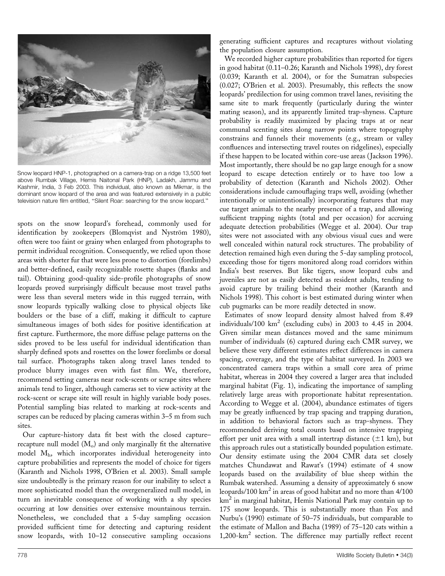

Snow leopard HNP-1, photographed on a camera-trap on a ridge 13,500 feet above Rumbak Village, Hemis Naitonal Park (HNP), Ladakh, Jammu and Kashmir, India, 3 Feb 2003. This individual, also known as Mikmar, is the dominant snow leopard of the area and was featured extensively in a public television nature film entitled, ''Silent Roar: searching for the snow leopard.''

spots on the snow leopard's forehead, commonly used for identification by zookeepers (Blomqvist and Nyström 1980), often were too faint or grainy when enlarged from photographs to permit individual recognition. Consequently, we relied upon those areas with shorter fur that were less prone to distortion (forelimbs) and better-defined, easily recognizable rosette shapes (flanks and tail). Obtaining good-quality side-profile photographs of snow leopards proved surprisingly difficult because most travel paths were less than several meters wide in this rugged terrain, with snow leopards typically walking close to physical objects like boulders or the base of a cliff, making it difficult to capture simultaneous images of both sides for positive identification at first capture. Furthermore, the more diffuse pelage patterns on the sides proved to be less useful for individual identification than sharply defined spots and rosettes on the lower forelimbs or dorsal tail surface. Photographs taken along travel lanes tended to produce blurry images even with fast film. We, therefore, recommend setting cameras near rock-scents or scrape sites where animals tend to linger, although cameras set to view activity at the rock-scent or scrape site will result in highly variable body poses. Potential sampling bias related to marking at rock-scents and scrapes can be reduced by placing cameras within 3–5 m from such sites.

Our capture-history data fit best with the closed capture– recapture null model  $(M_0)$  and only marginally fit the alternative model Mh, which incorporates individual heterogeneity into capture probabilities and represents the model of choice for tigers (Karanth and Nichols 1998, O'Brien et al. 2003). Small sample size undoubtedly is the primary reason for our inability to select a more sophisticated model than the overgeneralized null model, in turn an inevitable consequence of working with a shy species occurring at low densities over extensive mountainous terrain. Nonetheless, we concluded that a 5-day sampling occasion provided sufficient time for detecting and capturing resident snow leopards, with 10–12 consecutive sampling occasions

generating sufficient captures and recaptures without violating the population closure assumption.

We recorded higher capture probabilities than reported for tigers in good habitat (0.11–0.26; Karanth and Nichols 1998), dry forest (0.039; Karanth et al. 2004), or for the Sumatran subspecies (0.027; O'Brien et al. 2003). Presumably, this reflects the snow leopards' predilection for using common travel lanes, revisiting the same site to mark frequently (particularly during the winter mating season), and its apparently limited trap-shyness. Capture probability is readily maximized by placing traps at or near communal scenting sites along narrow points where topography constrains and funnels their movements (e.g., stream or valley confluences and intersecting travel routes on ridgelines), especially if these happen to be located within core-use areas ( Jackson 1996). Most importantly, there should be no gap large enough for a snow leopard to escape detection entirely or to have too low a probability of detection (Karanth and Nichols 2002). Other considerations include camouflaging traps well, avoiding (whether intentionally or unintentionally) incorporating features that may cue target animals to the nearby presence of a trap, and allowing sufficient trapping nights (total and per occasion) for accruing adequate detection probabilities (Wegge et al. 2004). Our trap sites were not associated with any obvious visual cues and were well concealed within natural rock structures. The probability of detection remained high even during the 5-day sampling protocol, exceeding those for tigers monitored along road corridors within India's best reserves. But like tigers, snow leopard cubs and juveniles are not as easily detected as resident adults, tending to avoid capture by trailing behind their mother (Karanth and Nichols 1998). This cohort is best estimated during winter when cub pugmarks can be more readily detected in snow.

Estimates of snow leopard density almost halved from 8.49 individuals/100  $km^2$  (excluding cubs) in 2003 to 4.45 in 2004. Given similar mean distances moved and the same minimum number of individuals (6) captured during each CMR survey, we believe these very different estimates reflect differences in camera spacing, coverage, and the type of habitat surveyed. In 2003 we concentrated camera traps within a small core area of prime habitat, whereas in 2004 they covered a larger area that included marginal habitat (Fig. 1), indicating the importance of sampling relatively large areas with proportionate habitat representation. According to Wegge et al. (2004), abundance estimates of tigers may be greatly influenced by trap spacing and trapping duration, in addition to behavioral factors such as trap-shyness. They recommended deriving total counts based on intensive trapping effort per unit area with a small intertrap distance  $(\pm 1 \text{ km})$ , but this approach rules out a statistically bounded population estimate. Our density estimate using the 2004 CMR data set closely matches Chundawat and Rawat's (1994) estimate of 4 snow leopards based on the availability of blue sheep within the Rumbak watershed. Assuming a density of approximately 6 snow leopards/100 km<sup>2</sup> in areas of good habitat and no more than 4/100 km<sup>2</sup> in marginal habitat, Hemis National Park may contain up to 175 snow leopards. This is substantially more than Fox and Nurbu's (1990) estimate of 50–75 individuals, but comparable to the estimate of Mallon and Bacha (1989) of 75–120 cats within a  $1,200$ -km<sup>2</sup> section. The difference may partially reflect recent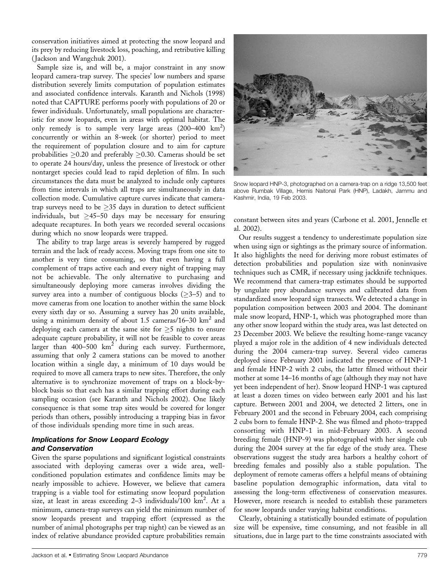conservation initiatives aimed at protecting the snow leopard and its prey by reducing livestock loss, poaching, and retributive killing ( Jackson and Wangchuk 2001).

Sample size is, and will be, a major constraint in any snow leopard camera-trap survey. The species' low numbers and sparse distribution severely limits computation of population estimates and associated confidence intervals. Karanth and Nichols (1998) noted that CAPTURE performs poorly with populations of 20 or fewer individuals. Unfortunately, small populations are characteristic for snow leopards, even in areas with optimal habitat. The only remedy is to sample very large areas  $(200-400 \text{ km}^2)$ concurrently or within an 8-week (or shorter) period to meet the requirement of population closure and to aim for capture probabilities  $\geq$ 0.20 and preferably  $\geq$ 0.30. Cameras should be set to operate 24 hours/day, unless the presence of livestock or other nontarget species could lead to rapid depletion of film. In such circumstances the data must be analyzed to include only captures from time intervals in which all traps are simultaneously in data collection mode. Cumulative capture curves indicate that cameratrap surveys need to be  $\geq$ 35 days in duration to detect sufficient individuals, but  $\geq$ 45–50 days may be necessary for ensuring adequate recaptures. In both years we recorded several occasions during which no snow leopards were trapped.

The ability to trap large areas is severely hampered by rugged terrain and the lack of ready access. Moving traps from one site to another is very time consuming, so that even having a full complement of traps active each and every night of trapping may not be achievable. The only alternative to purchasing and simultaneously deploying more cameras involves dividing the survey area into a number of contiguous blocks ( $\geq$ 3–5) and to move cameras from one location to another within the same block every sixth day or so. Assuming a survey has 20 units available, using a minimum density of about 1.5 cameras/16–30  $km^2$  and deploying each camera at the same site for  $\geq$ 5 nights to ensure adequate capture probability, it will not be feasible to cover areas larger than  $400-500 \text{ km}^2$  during each survey. Furthermore, assuming that only 2 camera stations can be moved to another location within a single day, a minimum of 10 days would be required to move all camera traps to new sites. Therefore, the only alternative is to synchronize movement of traps on a block-byblock basis so that each has a similar trapping effort during each sampling occasion (see Karanth and Nichols 2002). One likely consequence is that some trap sites would be covered for longer periods than others, possibly introducing a trapping bias in favor of those individuals spending more time in such areas.

#### Implications for Snow Leopard Ecology and Conservation

Given the sparse populations and significant logistical constraints associated with deploying cameras over a wide area, wellconditioned population estimates and confidence limits may be nearly impossible to achieve. However, we believe that camera trapping is a viable tool for estimating snow leopard population size, at least in areas exceeding  $2-3$  individuals/100  $\text{km}^2$ . At a minimum, camera-trap surveys can yield the minimum number of snow leopards present and trapping effort (expressed as the number of animal photographs per trap night) can be viewed as an index of relative abundance provided capture probabilities remain



Snow leopard HNP-3, photographed on a camera-trap on a ridge 13,500 feet above Rumbak Village, Hemis Naitonal Park (HNP), Ladakh, Jammu and Kashmir, India, 19 Feb 2003.

constant between sites and years (Carbone et al. 2001, Jennelle et al. 2002).

Our results suggest a tendency to underestimate population size when using sign or sightings as the primary source of information. It also highlights the need for deriving more robust estimates of detection probabilities and population size with noninvasive techniques such as CMR, if necessary using jackknife techniques. We recommend that camera-trap estimates should be supported by ungulate prey abundance surveys and calibrated data from standardized snow leopard sign transects. We detected a change in population composition between 2003 and 2004. The dominant male snow leopard, HNP-1, which was photographed more than any other snow leopard within the study area, was last detected on 23 December 2003. We believe the resulting home-range vacancy played a major role in the addition of 4 new individuals detected during the 2004 camera-trap survey. Several video cameras deployed since February 2001 indicated the presence of HNP-1 and female HNP-2 with 2 cubs, the latter filmed without their mother at some 14–16 months of age (although they may not have yet been independent of her). Snow leopard HNP-1 was captured at least a dozen times on video between early 2001 and his last capture. Between 2001 and 2004, we detected 2 litters, one in February 2001 and the second in February 2004, each comprising 2 cubs born to female HNP-2. She was filmed and photo-trapped consorting with HNP-1 in mid-February 2003. A second breeding female (HNP-9) was photographed with her single cub during the 2004 survey at the far edge of the study area. These observations suggest the study area harbors a healthy cohort of breeding females and possibly also a stable population. The deployment of remote cameras offers a helpful means of obtaining baseline population demographic information, data vital to assessing the long-term effectiveness of conservation measures. However, more research is needed to establish these parameters for snow leopards under varying habitat conditions.

Clearly, obtaining a statistically bounded estimate of population size will be expensive, time consuming, and not feasible in all situations, due in large part to the time constraints associated with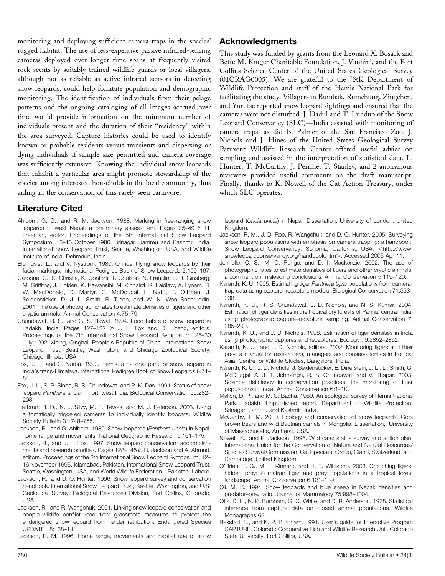monitoring and deploying sufficient camera traps in the species' rugged habitat. The use of less-expensive passive infrared-sensing cameras deployed over longer time spans at frequently visited rock-scents by suitably trained wildlife guards or local villagers, although not as reliable as active infrared sensors in detecting snow leopards, could help facilitate population and demographic monitoring. The identification of individuals from their pelage patterns and the ongoing cataloging of all images accrued over time would provide information on the minimum number of individuals present and the duration of their ''residency'' within the area surveyed. Capture histories could be used to identify known or probable residents versus transients and dispersing or dying individuals if sample size permitted and camera coverage was sufficiently extensive. Knowing the individual snow leopards that inhabit a particular area might promote stewardship of the species among interested households in the local community, thus aiding in the conservation of this rarely seen carnivore.

# Literature Cited

- Ahlborn, G. G., and R. M. Jackson. 1988. Marking in free-ranging snow leopards in west Nepal: a preliminary assessment. Pages 25–49 in H. Freeman, editor. Proceedings of the 5th International Snow Leopard Symposium, 13–15 October 1986, Srinagar, Jammu and Kashmir, India. International Snow Leopard Trust, Seattle, Washington, USA, and Wildlife Institute of India, Dehradun, India.
- Blomqvist, L., and V. Nyström. 1980. On identifying snow leopards by their facial markings. International Pedigree Book of Snow Leopards 2:159–167.
- Carbone, C., S. Christie, K. Conforti, T. Coulson, N. Franklin, J. R. Ginsberg, M. Griffiths, J. Holden, K. Kawansihi, M. Kinnaird, R. Laidlaw, A. Lynam, D. W. MacDonald, D. Martyr, C. McDougal, L. Nath, T. O'Brien, J. Seidensticker, D. J. L. Smith, R. Tilson, and W. N. Wan Shahruddin. 2001. The use of photographic rates to estimate densities of tigers and other cryptic animals. Animal Conservation 4:75–79.
- Chundawat, R. S., and G. S. Rawat. 1994. Food habits of snow leopard in Ladakh, India. Pages 127–132 in J. L. Fox and D. Jizeng, editors. Proceedings of the 7th International Snow Leopard Symposium, 25–30 July 1992, Xining, Qinghai, People's Republic of China. International Snow Leopard Trust, Seattle, Washington, and Chicago Zoological Society, Chicago, Illinois, USA.
- Fox, J. L., and C. Nurbu. 1990. Hemis, a national park for snow leopard in India's trans-Himalaya. International Pedigree Book of Snow Leopards 6:71– 84.
- Fox, J. L., S. P. Sinha, R. S. Chundawat, and P. K. Das. 1991. Status of snow leopard Panthera uncia in northwest India. Biological Conservation 55:282– 298.
- Heilbrun, R. D., N. J. Silvy, M. E. Tewes, and M. J. Peterson. 2003. Using automatically triggered cameras to individually identify bobcats. Wildlife Society Bulletin 31:748–755.
- Jackson, R., and G. Ahlborn. 1989. Snow leopards (Panthera uncia) in Nepal: home range and movements. National Geographic Research 5:161–175.
- Jackson, R., and J. L. Fox. 1997. Snow leopard conservation: accomplishments and research priorities. Pages 128–145 in R. Jackson and A. Ahmad, editors. Proceedings of the 8th International Snow Leopard Symposium, 12– 16 November 1995, Islamabad, Pakistan. International Snow Leopard Trust, Seattle, Washington, USA, and World Wildlife Federation—Pakistan, Lahore.
- Jackson, R., and D. O. Hunter. 1996. Snow leopard survey and conservation handbook. International Snow Leopard Trust, Seattle, Washington, and U.S. Geological Survey, Biological Resources Division, Fort Collins, Colorado, USA.
- Jackson, R., and R. Wangchuk. 2001. Linking snow leopard conservation and people–wildlife conflict resolution: grassroots measures to protect the endangered snow leopard from herder retribution. Endangered Species UPDATE 18:138–141.

Jackson, R. M. 1996. Home range, movements and habitat use of snow

## Acknowledgments

This study was funded by grants from the Leonard X. Bosack and Bette M. Kruger Charitable Foundation, J. Vannini, and the Fort Collins Science Center of the United States Geological Survey (01CRAG0005). We are grateful to the J&K Department of Wildlife Protection and staff of the Hemis National Park for facilitating the study. Villagers in Rumbak, Rumchung, Zingchen, and Yurutse reported snow leopard sightings and ensured that the cameras were not disturbed. J. Dadul and T. Lundup of the Snow Leopard Conservancy (SLC)—India assisted with monitoring of camera traps, as did B. Palmer of the San Francisco Zoo. J. Nichols and J. Hines of the United States Geological Survey Patuxent Wildlife Research Center offered useful advice on sampling and assisted in the interpretation of statistical data. L. Hunter, T. McCarthy, J. Perrine, T. Stanley, and 2 anonymous reviewers provided useful comments on the draft manuscript. Finally, thanks to K. Nowell of the Cat Action Treasury, under which SLC operates.

leopard (Uncia uncia) in Nepal. Dissertation, University of London, United Kingdom.

- Jackson, R. M., J. D. Roe, R. Wangchuk, and D. O. Hunter. 2005. Surveying snow leopard populations with emphasis on camera trapping: a handbook. Snow Leopard Conservancy, Sonoma, California, USA. <http://www. snowleopardconservancy.org/handbook.htm>. Accessed 2005 Apr 11.
- Jennelle, C. S., M. C. Runge, and D. I. Mackenzie. 2002. The use of photographic rates to estimate densities of tigers and other cryptic animals: a comment on misleading conclusions. Animal Conservation 5:119–120.
- Karanth, K. U. 1995. Estimating tiger Panthera tigris populations from cameratrap data using capture–recapture models. Biological Conservation 71:333– 338.
- Karanth, K. U., R. S. Chundawat, J. D. Nichols, and N. S. Kumar. 2004. Estimation of tiger densities in the tropical dry forests of Panna, central India, using photographic capture–recapture sampling. Animal Conservation 7: 285–290.
- Karanth, K. U., and J. D. Nichols. 1998. Estimation of tiger densities in India using photographic captures and recaptures. Ecology 79:2852–2862.
- Karanth, K. U., and J. D. Nichols, editors. 2002. Monitoring tigers and their prey: a manual for researchers, managers and conservationists in tropical Asia. Centre for Wildlife Studies, Bangalore, India.
- Karanth, K. U., J. D. Nichols, J. Seidensticker, E. Dinerstein, J. L . D. Smith, C. McDougal, A. J. T. Johnsingh, R. S. Chundawat, and V. Thapar. 2003. Science deficiency in conservation practices: the monitoring of tiger populations in India. Animal Conservation 6:1–10.
- Mallon, D. P., and M. S. Bacha. 1989. An ecological survey of Hemis National Park, Ladakh. Unpublished report. Department of Wildlife Protection, Srinagar, Jammu and Kashmir, India.
- McCarthy, T. M. 2000. Ecology and conservation of snow leopards, Gobi brown bears and wild Bactrian camels in Mongolia. Dissertation, University of Massachusetts, Amherst, USA.
- Nowell, K., and P. Jackson. 1996. Wild cats: status survey and action plan. International Union for the Conservation of Nature and Natural Resources/ Species Survival Commission, Cat Specialist Group, Gland, Switzerland, and Cambridge, United Kingdom.
- O'Brien, T. G., M. F. Kinnard, and H. T. Wibisono. 2003. Crouching tigers, hidden prey: Sumatran tiger and prey populations in a tropical forest landscape. Animal Conservation 6:131–139.
- Oli, M. K. 1994. Snow leopards and blue sheep in Nepal: densities and predator–prey ratio. Journal of Mammalogy 75:998–1004.
- Otis, D. L., K. P. Burnham, G. C. White, and D. R. Anderson. 1978. Statistical inference from capture data on closed animal populations. Wildlife Monographs 62
- Rexstad, E., and K. P. Burnham. 1991. User's guide for Interactive Program CAPTURE. Colorado Cooperative Fish and Wildlife Research Unit, Colorado State University, Fort Collins, USA.